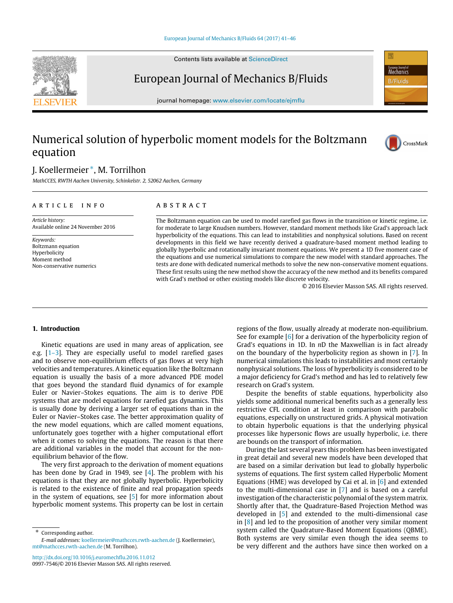#### [European Journal of Mechanics B/Fluids 64 \(2017\) 41–46](http://dx.doi.org/10.1016/j.euromechflu.2016.11.012)

Contents lists available at [ScienceDirect](http://www.elsevier.com/locate/ejmflu)

# European Journal of Mechanics B/Fluids

journal homepage: [www.elsevier.com/locate/ejmflu](http://www.elsevier.com/locate/ejmflu)

## Numerical solution of hyperbolic moment models for the Boltzmann equation

## J. Koellermeier [∗](#page-0-0) , M. Torrilhon

*MathCCES, RWTH Aachen University, Schinkelstr. 2, 52062 Aachen, Germany*

### ARTICLE INFO

*Article history:* Available online 24 November 2016

*Keywords:* Boltzmann equation Hyperbolicity Moment method Non-conservative numerics

## A B S T R A C T

The Boltzmann equation can be used to model rarefied gas flows in the transition or kinetic regime, i.e. for moderate to large Knudsen numbers. However, standard moment methods like Grad's approach lack hyperbolicity of the equations. This can lead to instabilities and nonphysical solutions. Based on recent developments in this field we have recently derived a quadrature-based moment method leading to globally hyperbolic and rotationally invariant moment equations. We present a 1D five moment case of the equations and use numerical simulations to compare the new model with standard approaches. The tests are done with dedicated numerical methods to solve the new non-conservative moment equations. These first results using the new method show the accuracy of the new method and its benefits compared with Grad's method or other existing models like discrete velocity.

© 2016 Elsevier Masson SAS. All rights reserved.

## **1. Introduction**

Kinetic equations are used in many areas of application, see e.g.  $[1-3]$ . They are especially useful to model rarefied gases and to observe non-equilibrium effects of gas flows at very high velocities and temperatures. A kinetic equation like the Boltzmann equation is usually the basis of a more advanced PDE model that goes beyond the standard fluid dynamics of for example Euler or Navier–Stokes equations. The aim is to derive PDE systems that are model equations for rarefied gas dynamics. This is usually done by deriving a larger set of equations than in the Euler or Navier–Stokes case. The better approximation quality of the new model equations, which are called moment equations, unfortunately goes together with a higher computational effort when it comes to solving the equations. The reason is that there are additional variables in the model that account for the nonequilibrium behavior of the flow.

The very first approach to the derivation of moment equations has been done by Grad in 1949, see [\[4\]](#page-5-1). The problem with his equations is that they are not globally hyperbolic. Hyperbolicity is related to the existence of finite and real propagation speeds in the system of equations, see [\[5\]](#page-5-2) for more information about hyperbolic moment systems. This property can be lost in certain

<span id="page-0-0"></span>Corresponding author. *E-mail addresses:* [koellermeier@mathcces.rwth-aachen.de](mailto:koellermeier@mathcces.rwth-aachen.de) (J. Koellermeier), [mt@mathcces.rwth-aachen.de](mailto:mt@mathcces.rwth-aachen.de) (M. Torrilhon).

<http://dx.doi.org/10.1016/j.euromechflu.2016.11.012> 0997-7546/© 2016 Elsevier Masson SAS. All rights reserved. regions of the flow, usually already at moderate non-equilibrium. See for example [\[6\]](#page-5-3) for a derivation of the hyperbolicity region of Grad's equations in 1D. In *n*D the Maxwellian is in fact already on the boundary of the hyperbolicity region as shown in [\[7\]](#page-5-4). In numerical simulations this leads to instabilities and most certainly nonphysical solutions. The loss of hyperbolicity is considered to be a major deficiency for Grad's method and has led to relatively few research on Grad's system.

Despite the benefits of stable equations, hyperbolicity also yields some additional numerical benefits such as a generally less restrictive CFL condition at least in comparison with parabolic equations, especially on unstructured grids. A physical motivation to obtain hyperbolic equations is that the underlying physical processes like hypersonic flows are usually hyperbolic, i.e. there are bounds on the transport of information.

During the last several years this problem has been investigated in great detail and several new models have been developed that are based on a similar derivation but lead to globally hyperbolic systems of equations. The first system called Hyperbolic Moment Equations (HME) was developed by Cai et al. in [\[6\]](#page-5-3) and extended to the multi-dimensional case in [\[7\]](#page-5-4) and is based on a careful investigation of the characteristic polynomial of the system matrix. Shortly after that, the Quadrature-Based Projection Method was developed in [\[5\]](#page-5-2) and extended to the multi-dimensional case in [\[8\]](#page-5-5) and led to the proposition of another very similar moment system called the Quadrature-Based Moment Equations (QBME). Both systems are very similar even though the idea seems to be very different and the authors have since then worked on a





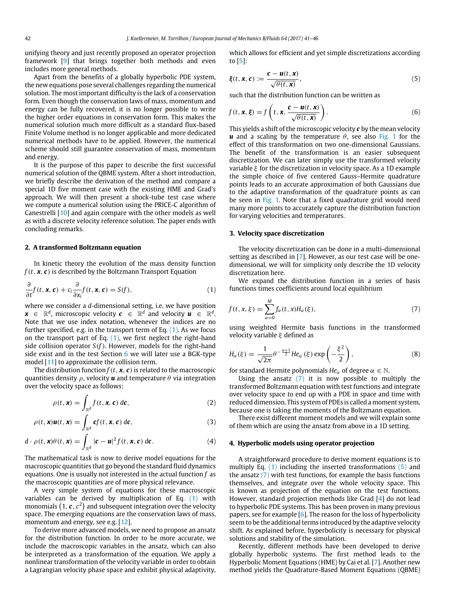unifying theory and just recently proposed an operator projection framework [\[9\]](#page-5-6) that brings together both methods and even includes more general methods.

Apart from the benefits of a globally hyperbolic PDE system, the new equations pose several challenges regarding the numerical solution. The most important difficulty is the lack of a conservation form. Even though the conservation laws of mass, momentum and energy can be fully recovered, it is no longer possible to write the higher order equations in conservation form. This makes the numerical solution much more difficult as a standard flux-based Finite Volume method is no longer applicable and more dedicated numerical methods have to be applied. However, the numerical scheme should still guarantee conservation of mass, momentum and energy.

It is the purpose of this paper to describe the first successful numerical solution of the QBME system. After a short introduction, we briefly describe the derivation of the method and compare a special 1D five moment case with the existing HME and Grad's approach. We will then present a shock-tube test case where we compute a numerical solution using the PRICE-C algorithm of Canestrelli [\[10\]](#page-5-7) and again compare with the other models as well as with a discrete velocity reference solution. The paper ends with concluding remarks.

## **2. A transformed Boltzmann equation**

In kinetic theory the evolution of the mass density function  $f(t, x, c)$  is described by the Boltzmann Transport Equation

$$
\frac{\partial}{\partial t} f(t, \mathbf{x}, \mathbf{c}) + c_i \frac{\partial}{\partial x_i} f(t, \mathbf{x}, \mathbf{c}) = S(f), \tag{1}
$$

where we consider a *d*-dimensional setting, i.e. we have position  $\bm{x}$   $\in$   $\mathbb{R}^d$ , microscopic velocity  $\bm{c}$   $\in$   $\mathbb{R}^d$  and velocity  $\bm{u}$   $\in$   $\mathbb{R}^d$ . Note that we use index notation, whenever the indices are no further specified, e.g. in the transport term of Eq.  $(1)$ . As we focus on the transport part of Eq. [\(1\),](#page-1-0) we first neglect the right-hand side collision operator *S*(*f*). However, models for the right-hand side exist and in the test Section  $6$  we will later use a BGK-type model [\[11\]](#page-5-8) to approximate the collision term.

The distribution function  $f(t, x, c)$  is related to the macroscopic quantities density  $\rho$ , velocity **u** and temperature  $\theta$  via integration over the velocity space as follows:

$$
\rho(t, \mathbf{x}) = \int_{\mathbb{R}^d} f(t, \mathbf{x}, \mathbf{c}) \, d\mathbf{c}, \tag{2}
$$

$$
\rho(t, \mathbf{x})\mathbf{u}(t, \mathbf{x}) = \int_{\mathbb{R}^d} cf(t, \mathbf{x}, \mathbf{c}) \, d\mathbf{c}, \tag{3}
$$

$$
d \cdot \rho(t, \mathbf{x}) \theta(t, \mathbf{x}) = \int_{\mathbb{R}^d} |\mathbf{c} - \mathbf{u}|^2 f(t, \mathbf{x}, \mathbf{c}) \, d\mathbf{c}.
$$
 (4)

The mathematical task is now to derive model equations for the macroscopic quantities that go beyond the standard fluid dynamics equations. One is usually not interested in the actual function *f* as the macroscopic quantities are of more physical relevance.

A very simple system of equations for these macroscopic variables can be derived by multiplication of Eq. [\(1\)](#page-1-0) with monomials  $(1,\boldsymbol{c},c^2)$  and subsequent integration over the velocity space. The emerging equations are the conservation laws of mass, momentum and energy, see e.g. [\[12\]](#page-5-9).

To derive more advanced models, we need to propose an ansatz for the distribution function. In order to be more accurate, we include the macroscopic variables in the ansatz, which can also be interpreted as a transformation of the equation. We apply a nonlinear transformation of the velocity variable in order to obtain a Lagrangian velocity phase space and exhibit physical adaptivity, which allows for efficient and yet simple discretizations according to [\[5\]](#page-5-2):

<span id="page-1-2"></span>
$$
\xi(t, \mathbf{x}, \mathbf{c}) := \frac{\mathbf{c} - \mathbf{u}(t, \mathbf{x})}{\sqrt{\theta(t, \mathbf{x})}},
$$
\n(5)

such that the distribution function can be written as

$$
f(t, \mathbf{x}, \xi) = f\left(t, \mathbf{x}, \frac{\mathbf{c} - \mathbf{u}(t, \mathbf{x})}{\sqrt{\theta(t, \mathbf{x})}}\right).
$$
 (6)

This yields a shift of the microscopic velocity *c* by the mean velocity *u* and a scaling by the temperature  $\theta$ , see also [Fig. 1](#page-2-0) for the effect of this transformation on two one-dimensional Gaussians. The benefit of the transformation is an easier subsequent discretization. We can later simply use the transformed velocity variable  $\xi$  for the discretization in velocity space. As a 1D example the simple choice of five centered Gauss–Hermite quadrature points leads to an accurate approximation of both Gaussians due to the adaptive transformation of the quadrature points as can be seen in [Fig. 1.](#page-2-0) Note that a fixed quadrature grid would need many more points to accurately capture the distribution function for varying velocities and temperatures.

#### **3. Velocity space discretization**

The velocity discretization can be done in a multi-dimensional setting as described in [\[7\]](#page-5-4). However, as our test case will be onedimensional, we will for simplicity only describe the 1D velocity discretization here.

<span id="page-1-0"></span>We expand the distribution function in a series of basis functions times coefficients around local equilibrium

<span id="page-1-1"></span>
$$
f(t, x, \xi) = \sum_{\alpha=0}^{M} f_{\alpha}(t, x) H_{\alpha}(\xi),
$$
\n<sup>(7)</sup>

using weighted Hermite basis functions in the transformed velocity variable  $\xi$  defined as

$$
H_{\alpha}(\xi) = \frac{1}{\sqrt{2\pi}} \theta^{-\frac{\alpha+1}{2}} H e_{\alpha}(\xi) \exp\left(-\frac{\xi^2}{2}\right), \tag{8}
$$

for standard Hermite polynomials  $He_\alpha$  of degree  $\alpha \in \mathbb{N}$ .

Using the ansatz  $(7)$  it is now possible to multiply the transformed Boltzmann equation with test functions and integrate over velocity space to end up with a PDE in space and time with reduced dimension. This system of PDEs is called a moment system, because one is taking the moments of the Boltzmann equation.

There exist different moment models and we will explain some of them which are using the ansatz from above in a 1D setting.

## **4. Hyperbolic models using operator projection**

A straightforward procedure to derive moment equations is to multiply Eq.  $(1)$  including the inserted transformations  $(5)$  and the ansatz  $(7)$  with test functions, for example the basis functions themselves, and integrate over the whole velocity space. This is known as projection of the equation on the test functions. However, standard projection methods like Grad [\[4\]](#page-5-1) do not lead to hyperbolic PDE systems. This has been proven in many previous papers, see for example  $[6]$ . The reason for the loss of hyperbolicity seem to be the additional terms introduced by the adaptive velocity shift. As explained before, hyperbolicity is necessary for physical solutions and stability of the simulation.

Recently, different methods have been developed to derive globally hyperbolic systems. The first method leads to the Hyperbolic Moment Equations (HME) by Cai et al. [\[7\]](#page-5-4). Another new method yields the Quadrature-Based Moment Equations (QBME)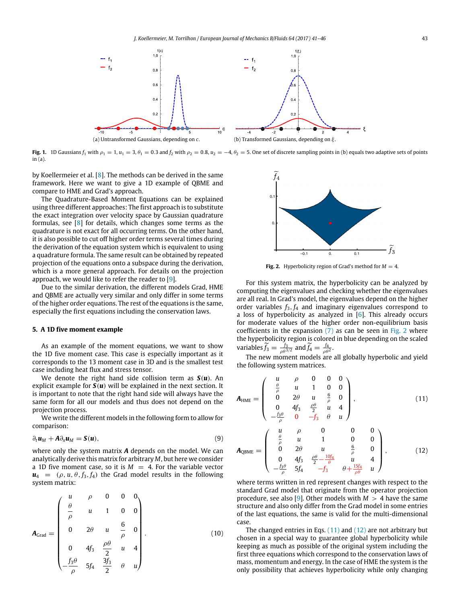<span id="page-2-0"></span>

**Fig. 1.** 1D Gaussians  $f_1$  with  $\rho_1 = 1$ ,  $u_1 = 3$ ,  $\theta_1 = 0.3$  and  $f_2$  with  $\rho_2 = 0.8$ ,  $u_2 = -4$ ,  $\theta_2 = 5$ . One set of discrete sampling points in (b) equals two adaptive sets of points  $in(a)$ .

by Koellermeier et al. [\[8\]](#page-5-5). The methods can be derived in the same framework. Here we want to give a 1D example of QBME and compare to HME and Grad's approach.

The Quadrature-Based Moment Equations can be explained using three different approaches: The first approach is to substitute the exact integration over velocity space by Gaussian quadrature formulas, see [\[8\]](#page-5-5) for details, which changes some terms as the quadrature is not exact for all occurring terms. On the other hand, it is also possible to cut off higher order terms several times during the derivation of the equation system which is equivalent to using a quadrature formula. The same result can be obtained by repeated projection of the equations onto a subspace during the derivation, which is a more general approach. For details on the projection approach, we would like to refer the reader to [\[9\]](#page-5-6).

Due to the similar derivation, the different models Grad, HME and QBME are actually very similar and only differ in some terms of the higher order equations. The rest of the equations is the same, especially the first equations including the conservation laws.

#### <span id="page-2-4"></span>**5. A 1D five moment example**

As an example of the moment equations, we want to show the 1D five moment case. This case is especially important as it corresponds to the 13 moment case in 3D and is the smallest test case including heat flux and stress tensor.

We denote the right hand side collision term as *S*(*u*). An explicit example for  $S(u)$  will be explained in the next section. It is important to note that the right hand side will always have the same form for all our models and thus does not depend on the projection process.

We write the different models in the following form to allow for comparison:

$$
\partial_t \mathbf{u}_M + \mathbf{A} \partial_x \mathbf{u}_M = \mathbf{S}(\mathbf{u}), \tag{9}
$$

where only the system matrix *A* depends on the model. We can analytically derive this matrix for arbitrary *M*, but here we consider a 1D five moment case, so it is  $M = 4$ . For the variable vector  $u_4 = (\rho, u, \theta, f_3, f_4)$  the Grad model results in the following system matrix:

$$
\mathbf{A}_{\text{Grad}} = \begin{pmatrix} u & \rho & 0 & 0 & 0 \\ \frac{\theta}{\rho} & u & 1 & 0 & 0 \\ 0 & 2\theta & u & \frac{6}{\rho} & 0 \\ 0 & 4f_3 & \frac{\rho\theta}{2} & u & 4 \\ -\frac{f_3\theta}{\rho} & 5f_4 & \frac{3f_3}{2} & \theta & u \end{pmatrix} .
$$
 (10)

<span id="page-2-1"></span>

**Fig. 2.** Hyperbolicity region of Grad's method for  $M = 4$ .

For this system matrix, the hyperbolicity can be analyzed by computing the eigenvalues and checking whether the eigenvalues are all real. In Grad's model, the eigenvalues depend on the higher order variables  $f_3, f_4$  and imaginary eigenvalues correspond to a loss of hyperbolicity as analyzed in  $[6]$ . This already occurs for moderate values of the higher order non-equilibrium basis coefficients in the expansion  $(7)$  as can be seen in [Fig. 2](#page-2-1) where the hyperbolicity region is colored in blue depending on the scaled variables  $\widetilde{f}_3 = \frac{f_3}{\rho \theta^{3/2}}$  and  $\widetilde{f}_4 = \frac{f_4}{\rho \theta^2}$ .

The new moment models are all globally hyperbolic and yield the following system matrices.

<span id="page-2-2"></span>
$$
\mathbf{A}_{\text{HME}} = \left( \begin{array}{cccc} u & \rho & 0 & 0 & 0 \\ \frac{\theta}{\rho} & u & 1 & 0 & 0 \\ 0 & 2\theta & u & \frac{6}{\rho} & 0 \\ 0 & 4f_3 & \frac{\rho\theta}{2} & u & 4 \\ -\frac{f_3\theta}{2} & 0 & -f_3 & \theta & u \end{array} \right), \tag{11}
$$

<span id="page-2-5"></span><span id="page-2-3"></span>
$$
A_{QBME} = \begin{pmatrix} u & \rho & 0 & 0 & 0 \\ \frac{\theta}{\rho} & u & 1 & 0 & 0 \\ 0 & 2\theta & u & \frac{6}{\rho} & 0 \\ 0 & 4f_3 & \frac{\rho\theta}{2} - \frac{10f_4}{\theta} & u & 4 \\ -\frac{f_3\theta}{\rho} & 5f_4 & -f_3 & \theta + \frac{15f_4}{\rho\theta} & u \end{pmatrix},
$$
(12)

where terms written in red represent changes with respect to the standard Grad model that originate from the operator projection procedure, see also [\[9\]](#page-5-6). Other models with  $M > 4$  have the same structure and also only differ from the Grad model in some entries of the last equations, the same is valid for the multi-dimensional case.

The changed entries in Eqs.  $(11)$  and  $(12)$  are not arbitrary but chosen in a special way to guarantee global hyperbolicity while keeping as much as possible of the original system including the first three equations which correspond to the conservation laws of mass, momentum and energy. In the case of HME the system is the only possibility that achieves hyperbolicity while only changing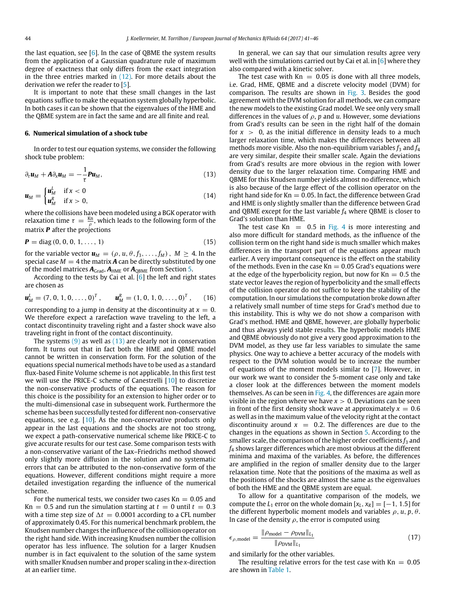the last equation, see  $[6]$ . In the case of QBME the system results from the application of a Gaussian quadrature rule of maximum degree of exactness that only differs from the exact integration in the three entries marked in  $(12)$ . For more details about the derivation we refer the reader to [\[5\]](#page-5-2).

It is important to note that these small changes in the last equations suffice to make the equation system globally hyperbolic. In both cases it can be shown that the eigenvalues of the HME and the QBME system are in fact the same and are all finite and real.

## <span id="page-3-0"></span>**6. Numerical simulation of a shock tube**

In order to test our equation systems, we consider the following shock tube problem:

$$
\partial_t \mathbf{u}_M + \mathbf{A} \partial_x \mathbf{u}_M = -\frac{1}{\tau} \mathbf{P} \mathbf{u}_M, \tag{13}
$$

$$
\mathbf{u}_M = \begin{cases} \mathbf{u}_M^L & \text{if } x < 0 \\ \mathbf{u}_M^R & \text{if } x > 0, \end{cases} \tag{14}
$$

where the collisions have been modeled using a BGK operator with relaxation time  $\tau = \frac{Kn}{\rho}$ , which leads to the following form of the matrix *P* after the projections

$$
P = diag(0, 0, 0, 1, ..., 1)
$$
 (15)

for the variable vector  $\mathbf{u}_M = (\rho, u, \theta, f_3, \dots, f_M)$ ,  $M \geq 4$ . In the special case  $M = 4$  the matrix  $\vec{A}$  can be directly substituted by one of the model matrices  $A_{Grad}$ ,  $A_{HME}$  or  $A_{OBME}$  from Section [5.](#page-2-4)

According to the tests by Cai et al.  $\overline{6}$  the left and right states are chosen as

$$
\boldsymbol{u}_M^L = (7, 0, 1, 0, \dots, 0)^T, \qquad \boldsymbol{u}_M^R = (1, 0, 1, 0, \dots, 0)^T, \qquad (16)
$$

corresponding to a jump in density at the discontinuity at  $x = 0$ . We therefore expect a rarefaction wave traveling to the left, a contact discontinuity traveling right and a faster shock wave also traveling right in front of the contact discontinuity.

The systems  $(9)$  as well as  $(13)$  are clearly not in conservation form. It turns out that in fact both the HME and QBME model cannot be written in conservation form. For the solution of the equations special numerical methods have to be used as a standard flux-based Finite Volume scheme is not applicable. In this first test we will use the PRICE-C scheme of Canestrelli [\[10\]](#page-5-7) to discretize the non-conservative products of the equations. The reason for this choice is the possibility for an extension to higher order or to the multi-dimensional case in subsequent work. Furthermore the scheme has been successfully tested for different non-conservative equations, see e.g. [\[10\]](#page-5-7). As the non-conservative products only appear in the last equations and the shocks are not too strong, we expect a path-conservative numerical scheme like PRICE-C to give accurate results for our test case. Some comparison tests with a non-conservative variant of the Lax–Friedrichs method showed only slightly more diffusion in the solution and no systematic errors that can be attributed to the non-conservative form of the equations. However, different conditions might require a more detailed investigation regarding the influence of the numerical scheme.

For the numerical tests, we consider two cases  $Kn = 0.05$  and  $Kn = 0.5$  and run the simulation starting at  $t = 0$  until  $t = 0.3$ with a time step size of  $\Delta t = 0.0001$  according to a CFL number of approximately 0.45. For this numerical benchmark problem, the Knudsen number changes the influence of the collision operator on the right hand side. With increasing Knudsen number the collision operator has less influence. The solution for a larger Knudsen number is in fact equivalent to the solution of the same system with smaller Knudsen number and proper scaling in the *x*-direction at an earlier time.

In general, we can say that our simulation results agree very well with the simulations carried out by Cai et al. in  $[6]$  where they also compared with a kinetic solver.

The test case with  $Kn = 0.05$  is done with all three models, i.e. Grad, HME, QBME and a discrete velocity model (DVM) for comparison. The results are shown in [Fig. 3.](#page-4-0) Besides the good agreement with the DVM solution for all methods, we can compare the new models to the existing Grad model. We see only very small differences in the values of  $\rho$ ,  $p$  and  $u$ . However, some deviations from Grad's results can be seen in the right half of the domain for  $x > 0$ , as the initial difference in density leads to a much larger relaxation time, which makes the differences between all methods more visible. Also the non-equilibrium variables  $f_3$  and  $f_4$ are very similar, despite their smaller scale. Again the deviations from Grad's results are more obvious in the region with lower density due to the larger relaxation time. Comparing HME and QBME for this Knudsen number yields almost no difference, which is also because of the large effect of the collision operator on the right hand side for  $Kn = 0.05$ . In fact, the difference between Grad and HME is only slightly smaller than the difference between Grad and QBME except for the last variable *f*<sup>4</sup> where QBME is closer to Grad's solution than HME.

<span id="page-3-1"></span>The test case  $Kn = 0.5$  in [Fig. 4](#page-4-1) is more interesting and also more difficult for standard methods, as the influence of the collision term on the right hand side is much smaller which makes differences in the transport part of the equations appear much earlier. A very important consequence is the effect on the stability of the methods. Even in the case  $Kn = 0.05$  Grad's equations were at the edge of the hyperbolicity region, but now for  $Kn = 0.5$  the state vector leaves the region of hyperbolicity and the small effects of the collision operator do not suffice to keep the stability of the computation. In our simulations the computation broke down after a relatively small number of time steps for Grad's method due to this instability. This is why we do not show a comparison with Grad's method. HME and QBME, however, are globally hyperbolic and thus always yield stable results. The hyperbolic models HME and QBME obviously do not give a very good approximation to the DVM model, as they use far less variables to simulate the same physics. One way to achieve a better accuracy of the models with respect to the DVM solution would be to increase the number of equations of the moment models similar to [\[7\]](#page-5-4). However, in our work we want to consider the 5-moment case only and take a closer look at the differences between the moment models themselves. As can be seen in  $Fig. 4$ , the differences are again more visible in the region where we have  $x > 0$ . Deviations can be seen in front of the first density shock wave at approximately  $x = 0.6$ as well as in the maximum value of the velocity right at the contact discontinuity around  $x = 0.2$ . The differences are due to the changes in the equations as shown in Section [5.](#page-2-4) According to the smaller scale, the comparison of the higher order coefficients  $f_3$  and *f*<sup>4</sup> shows larger differences which are most obvious at the different minima and maxima of the variables. As before, the differences are amplified in the region of smaller density due to the larger relaxation time. Note that the positions of the maxima as well as the positions of the shocks are almost the same as the eigenvalues of both the HME and the QBME system are equal.

To allow for a quantitative comparison of the models, we compute the *L*<sub>1</sub> error on the whole domain  $[x_L, x_R] = [-1, 1.5]$  for the different hyperbolic moment models and variables  $\rho$ ,  $u$ ,  $p$ ,  $\theta$ . In case of the density  $\rho$ , the error is computed using

$$
\epsilon_{\rho,\text{model}} = \frac{\|\rho_{\text{model}} - \rho_{\text{DVM}}\|_{L_1}}{\|\rho_{\text{DVM}}\|_{L_1}}\tag{17}
$$

and similarly for the other variables.

The resulting relative errors for the test case with  $Kn = 0.05$ are shown in [Table 1.](#page-5-10)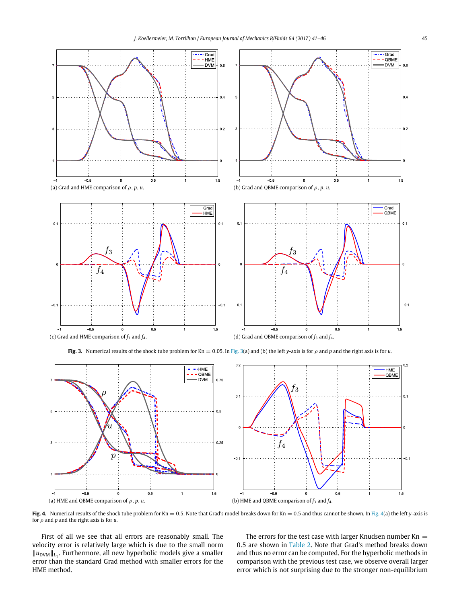<span id="page-4-0"></span>

**Fig. 3.** Numerical results of the shock tube problem for Kn = 0.05. In [Fig. 3\(](#page-4-0)a) and (b) the left *y*-axis is for  $\rho$  and *p* and the right axis is for *u*.

<span id="page-4-1"></span>

**Fig. 4.** Numerical results of the shock tube problem for Kn = 0.5. Note that Grad's model breaks down for Kn = 0.5 and thus cannot be shown. In [Fig. 4\(](#page-4-1)a) the left *y*-axis is for ρ and *p* and the right axis is for *u*.

First of all we see that all errors are reasonably small. The velocity error is relatively large which is due to the small norm  $||u_{\text{DVM}}||_{L_1}$ . Furthermore, all new hyperbolic models give a smaller error than the standard Grad method with smaller errors for the HME method.

The errors for the test case with larger Knudsen number  $Kn =$ 0.5 are shown in [Table 2.](#page-5-11) Note that Grad's method breaks down and thus no error can be computed. For the hyperbolic methods in comparison with the previous test case, we observe overall larger error which is not surprising due to the stronger non-equilibrium